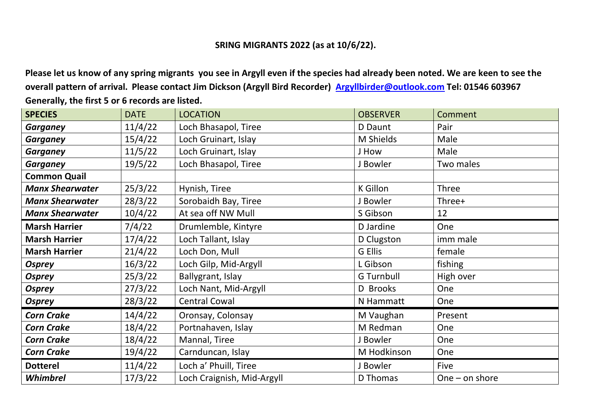## **SRING MIGRANTS 2022 (as at 10/6/22).**

**Please let us know of any spring migrants you see in Argyll even if the species had already been noted. We are keen to see the overall pattern of arrival. Please contact Jim Dickson (Argyll Bird Recorder) [Argyllbirder@outlook.com](mailto:Argyllbirder@outlook.com) Tel: 01546 603967 Generally, the first 5 or 6 records are listed.**

| <b>SPECIES</b>         | <b>DATE</b> | <b>LOCATION</b>            | <b>OBSERVER</b>   | Comment          |
|------------------------|-------------|----------------------------|-------------------|------------------|
| <b>Garganey</b>        | 11/4/22     | Loch Bhasapol, Tiree       | D Daunt           | Pair             |
| <b>Garganey</b>        | 15/4/22     | Loch Gruinart, Islay       | M Shields         | Male             |
| <b>Garganey</b>        | 11/5/22     | Loch Gruinart, Islay       | J How             | Male             |
| <b>Garganey</b>        | 19/5/22     | Loch Bhasapol, Tiree       | <b>Bowler</b>     | Two males        |
| <b>Common Quail</b>    |             |                            |                   |                  |
| <b>Manx Shearwater</b> | 25/3/22     | Hynish, Tiree              | <b>K</b> Gillon   | <b>Three</b>     |
| <b>Manx Shearwater</b> | 28/3/22     | Sorobaidh Bay, Tiree       | <b>Bowler</b>     | Three+           |
| <b>Manx Shearwater</b> | 10/4/22     | At sea off NW Mull         | S Gibson          | 12               |
| <b>Marsh Harrier</b>   | 7/4/22      | Drumlemble, Kintyre        | D Jardine         | One              |
| <b>Marsh Harrier</b>   | 17/4/22     | Loch Tallant, Islay        | D Clugston        | imm male         |
| <b>Marsh Harrier</b>   | 21/4/22     | Loch Don, Mull             | G Ellis           | female           |
| <b>Osprey</b>          | 16/3/22     | Loch Gilp, Mid-Argyll      | L Gibson          | fishing          |
| <b>Osprey</b>          | 25/3/22     | Ballygrant, Islay          | <b>G</b> Turnbull | High over        |
| <b>Osprey</b>          | 27/3/22     | Loch Nant, Mid-Argyll      | D Brooks          | One              |
| <b>Osprey</b>          | 28/3/22     | <b>Central Cowal</b>       | N Hammatt         | One              |
| <b>Corn Crake</b>      | 14/4/22     | Oronsay, Colonsay          | M Vaughan         | Present          |
| <b>Corn Crake</b>      | 18/4/22     | Portnahaven, Islay         | M Redman          | One              |
| <b>Corn Crake</b>      | 18/4/22     | Mannal, Tiree              | J Bowler          | One              |
| <b>Corn Crake</b>      | 19/4/22     | Carnduncan, Islay          | M Hodkinson       | One              |
| <b>Dotterel</b>        | 11/4/22     | Loch a' Phuill, Tiree      | J Bowler          | Five             |
| Whimbrel               | 17/3/22     | Loch Craignish, Mid-Argyll | D Thomas          | One $-$ on shore |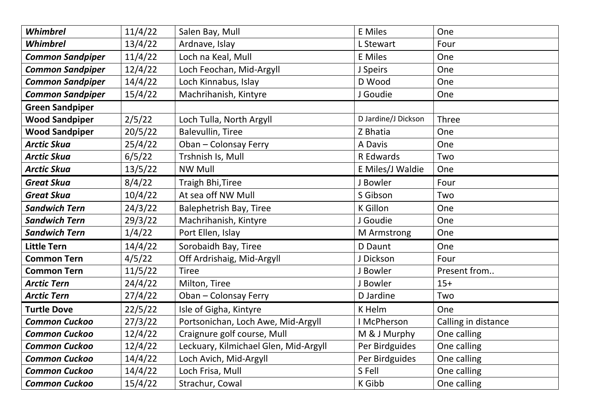| Whimbrel                | 11/4/22 | Salen Bay, Mull                       | <b>E</b> Miles      | One                 |
|-------------------------|---------|---------------------------------------|---------------------|---------------------|
| Whimbrel                | 13/4/22 | Ardnave, Islay                        | L Stewart           | Four                |
| <b>Common Sandpiper</b> | 11/4/22 | Loch na Keal, Mull                    | <b>E</b> Miles      | One                 |
| <b>Common Sandpiper</b> | 12/4/22 | Loch Feochan, Mid-Argyll              | J Speirs            | One                 |
| <b>Common Sandpiper</b> | 14/4/22 | Loch Kinnabus, Islay                  | D Wood              | One                 |
| <b>Common Sandpiper</b> | 15/4/22 | Machrihanish, Kintyre                 | J Goudie            | One                 |
| <b>Green Sandpiper</b>  |         |                                       |                     |                     |
| <b>Wood Sandpiper</b>   | 2/5/22  | Loch Tulla, North Argyll              | D Jardine/J Dickson | Three               |
| <b>Wood Sandpiper</b>   | 20/5/22 | <b>Balevullin, Tiree</b>              | Z Bhatia            | One                 |
| <b>Arctic Skua</b>      | 25/4/22 | Oban - Colonsay Ferry                 | A Davis             | One                 |
| <b>Arctic Skua</b>      | 6/5/22  | Trshnish Is, Mull                     | R Edwards           | Two                 |
| <b>Arctic Skua</b>      | 13/5/22 | <b>NW Mull</b>                        | E Miles/J Waldie    | One                 |
| <b>Great Skua</b>       | 8/4/22  | Traigh Bhi, Tiree                     | J Bowler            | Four                |
| <b>Great Skua</b>       | 10/4/22 | At sea off NW Mull                    | S Gibson            | Two                 |
| <b>Sandwich Tern</b>    | 24/3/22 | <b>Balephetrish Bay, Tiree</b>        | <b>K</b> Gillon     | One                 |
| <b>Sandwich Tern</b>    | 29/3/22 | Machrihanish, Kintyre                 | J Goudie            | One                 |
| <b>Sandwich Tern</b>    | 1/4/22  | Port Ellen, Islay                     | M Armstrong         | One                 |
| <b>Little Tern</b>      | 14/4/22 | Sorobaidh Bay, Tiree                  | D Daunt             | One                 |
| <b>Common Tern</b>      | 4/5/22  | Off Ardrishaig, Mid-Argyll            | J Dickson           | Four                |
| <b>Common Tern</b>      | 11/5/22 | <b>Tiree</b>                          | J Bowler            | Present from        |
| <b>Arctic Tern</b>      | 24/4/22 | Milton, Tiree                         | J Bowler            | $15+$               |
| <b>Arctic Tern</b>      | 27/4/22 | Oban - Colonsay Ferry                 | D Jardine           | Two                 |
| <b>Turtle Dove</b>      | 22/5/22 | Isle of Gigha, Kintyre                | K Helm              | One                 |
| <b>Common Cuckoo</b>    | 27/3/22 | Portsonichan, Loch Awe, Mid-Argyll    | I McPherson         | Calling in distance |
| <b>Common Cuckoo</b>    | 12/4/22 | Craignure golf course, Mull           | M & J Murphy        | One calling         |
| <b>Common Cuckoo</b>    | 12/4/22 | Leckuary, Kilmichael Glen, Mid-Argyll | Per Birdguides      | One calling         |
| <b>Common Cuckoo</b>    | 14/4/22 | Loch Avich, Mid-Argyll                | Per Birdguides      | One calling         |
| <b>Common Cuckoo</b>    | 14/4/22 | Loch Frisa, Mull                      | S Fell              | One calling         |
| <b>Common Cuckoo</b>    | 15/4/22 | Strachur, Cowal                       | K Gibb              | One calling         |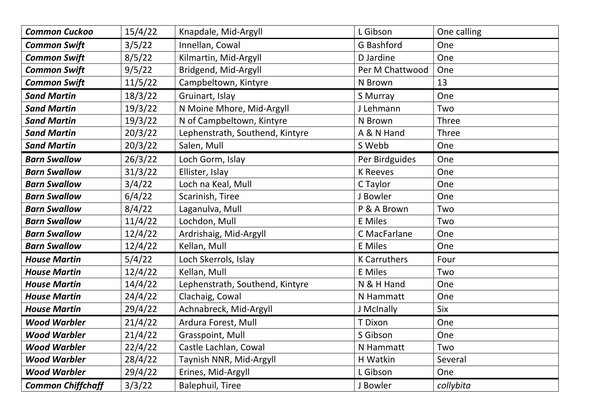| <b>Common Cuckoo</b>     | 15/4/22 | Knapdale, Mid-Argyll            | L Gibson            | One calling  |
|--------------------------|---------|---------------------------------|---------------------|--------------|
| <b>Common Swift</b>      | 3/5/22  | Innellan, Cowal                 | G Bashford          | One          |
| <b>Common Swift</b>      | 8/5/22  | Kilmartin, Mid-Argyll           | D Jardine           | One          |
| <b>Common Swift</b>      | 9/5/22  | Bridgend, Mid-Argyll            | Per M Chattwood     | One          |
| <b>Common Swift</b>      | 11/5/22 | Campbeltown, Kintyre            | N Brown             | 13           |
| <b>Sand Martin</b>       | 18/3/22 | Gruinart, Islay                 | S Murray            | One          |
| <b>Sand Martin</b>       | 19/3/22 | N Moine Mhore, Mid-Argyll       | J Lehmann           | Two          |
| <b>Sand Martin</b>       | 19/3/22 | N of Campbeltown, Kintyre       | N Brown             | <b>Three</b> |
| <b>Sand Martin</b>       | 20/3/22 | Lephenstrath, Southend, Kintyre | A & N Hand          | <b>Three</b> |
| <b>Sand Martin</b>       | 20/3/22 | Salen, Mull                     | S Webb              | One          |
| <b>Barn Swallow</b>      | 26/3/22 | Loch Gorm, Islay                | Per Birdguides      | One          |
| <b>Barn Swallow</b>      | 31/3/22 | Ellister, Islay                 | <b>K</b> Reeves     | One          |
| <b>Barn Swallow</b>      | 3/4/22  | Loch na Keal, Mull              | C Taylor            | One          |
| <b>Barn Swallow</b>      | 6/4/22  | Scarinish, Tiree                | J Bowler            | One          |
| <b>Barn Swallow</b>      | 8/4/22  | Laganulva, Mull                 | P & A Brown         | Two          |
| <b>Barn Swallow</b>      | 11/4/22 | Lochdon, Mull                   | <b>E</b> Miles      | Two          |
| <b>Barn Swallow</b>      | 12/4/22 | Ardrishaig, Mid-Argyll          | C MacFarlane        | One          |
| <b>Barn Swallow</b>      | 12/4/22 | Kellan, Mull                    | <b>E</b> Miles      | One          |
| <b>House Martin</b>      | 5/4/22  | Loch Skerrols, Islay            | <b>K Carruthers</b> | Four         |
| <b>House Martin</b>      | 12/4/22 | Kellan, Mull                    | <b>E</b> Miles      | Two          |
| <b>House Martin</b>      | 14/4/22 | Lephenstrath, Southend, Kintyre | N & H Hand          | One          |
| <b>House Martin</b>      | 24/4/22 | Clachaig, Cowal                 | N Hammatt           | One          |
| <b>House Martin</b>      | 29/4/22 | Achnabreck, Mid-Argyll          | J McInally          | Six          |
| <b>Wood Warbler</b>      | 21/4/22 | Ardura Forest, Mull             | T Dixon             | One          |
| <b>Wood Warbler</b>      | 21/4/22 | Grasspoint, Mull                | S Gibson            | One          |
| <b>Wood Warbler</b>      | 22/4/22 | Castle Lachlan, Cowal           | N Hammatt           | Two          |
| <b>Wood Warbler</b>      | 28/4/22 | Taynish NNR, Mid-Argyll         | H Watkin            | Several      |
| <b>Wood Warbler</b>      | 29/4/22 | Erines, Mid-Argyll              | L Gibson            | One          |
| <b>Common Chiffchaff</b> | 3/3/22  | <b>Balephuil, Tiree</b>         | J Bowler            | collybita    |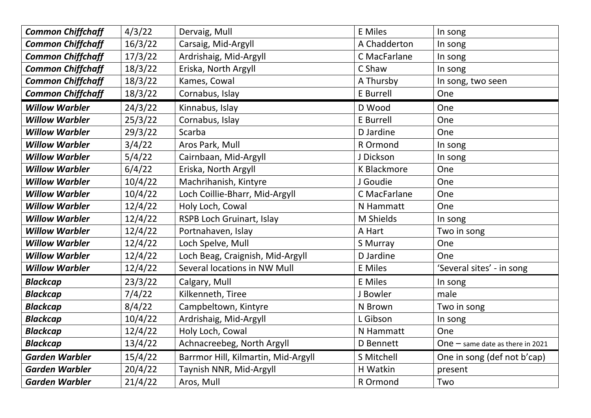| <b>Common Chiffchaff</b> | 4/3/22  | Dervaig, Mull                       | <b>E</b> Miles     | In song                            |
|--------------------------|---------|-------------------------------------|--------------------|------------------------------------|
| <b>Common Chiffchaff</b> | 16/3/22 | Carsaig, Mid-Argyll                 | A Chadderton       | In song                            |
| <b>Common Chiffchaff</b> | 17/3/22 | Ardrishaig, Mid-Argyll              | C MacFarlane       | In song                            |
| <b>Common Chiffchaff</b> | 18/3/22 | Eriska, North Argyll                | C Shaw             | In song                            |
| <b>Common Chiffchaff</b> | 18/3/22 | Kames, Cowal                        | A Thursby          | In song, two seen                  |
| <b>Common Chiffchaff</b> | 18/3/22 | Cornabus, Islay                     | E Burrell          | One                                |
| <b>Willow Warbler</b>    | 24/3/22 | Kinnabus, Islay                     | D Wood             | One                                |
| <b>Willow Warbler</b>    | 25/3/22 | Cornabus, Islay                     | E Burrell          | One                                |
| <b>Willow Warbler</b>    | 29/3/22 | Scarba                              | D Jardine          | One                                |
| <b>Willow Warbler</b>    | 3/4/22  | Aros Park, Mull                     | R Ormond           | In song                            |
| <b>Willow Warbler</b>    | 5/4/22  | Cairnbaan, Mid-Argyll               | J Dickson          | In song                            |
| <b>Willow Warbler</b>    | 6/4/22  | Eriska, North Argyll                | <b>K Blackmore</b> | One                                |
| <b>Willow Warbler</b>    | 10/4/22 | Machrihanish, Kintyre               | J Goudie           | One                                |
| <b>Willow Warbler</b>    | 10/4/22 | Loch Coillie-Bharr, Mid-Argyll      | C MacFarlane       | One                                |
| <b>Willow Warbler</b>    | 12/4/22 | Holy Loch, Cowal                    | N Hammatt          | One                                |
| <b>Willow Warbler</b>    | 12/4/22 | RSPB Loch Gruinart, Islay           | M Shields          | In song                            |
| <b>Willow Warbler</b>    | 12/4/22 | Portnahaven, Islay                  | A Hart             | Two in song                        |
| <b>Willow Warbler</b>    | 12/4/22 | Loch Spelve, Mull                   | S Murray           | One                                |
| <b>Willow Warbler</b>    | 12/4/22 | Loch Beag, Craignish, Mid-Argyll    | D Jardine          | One                                |
| <b>Willow Warbler</b>    | 12/4/22 | Several locations in NW Mull        | <b>E</b> Miles     | 'Several sites' - in song          |
| <b>Blackcap</b>          | 23/3/22 | Calgary, Mull                       | <b>E</b> Miles     | In song                            |
| <b>Blackcap</b>          | 7/4/22  | Kilkenneth, Tiree                   | J Bowler           | male                               |
| <b>Blackcap</b>          | 8/4/22  | Campbeltown, Kintyre                | N Brown            | Two in song                        |
| <b>Blackcap</b>          | 10/4/22 | Ardrishaig, Mid-Argyll              | L Gibson           | In song                            |
| <b>Blackcap</b>          | 12/4/22 | Holy Loch, Cowal                    | <b>N</b> Hammatt   | One                                |
| <b>Blackcap</b>          | 13/4/22 | Achnacreebeg, North Argyll          | D Bennett          | One $-$ same date as there in 2021 |
| <b>Garden Warbler</b>    | 15/4/22 | Barrmor Hill, Kilmartin, Mid-Argyll | S Mitchell         | One in song (def not b'cap)        |
| <b>Garden Warbler</b>    | 20/4/22 | Taynish NNR, Mid-Argyll             | H Watkin           | present                            |
| <b>Garden Warbler</b>    | 21/4/22 | Aros, Mull                          | R Ormond           | Two                                |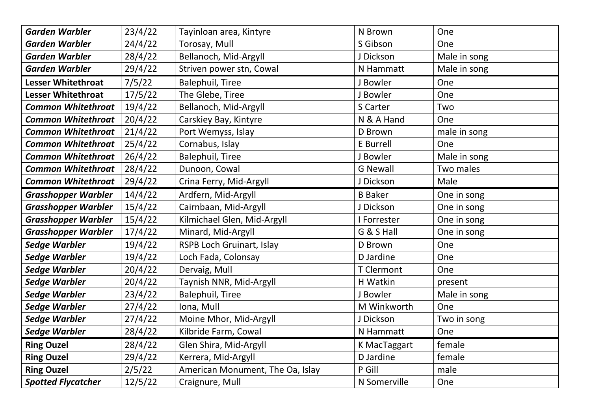| <b>Garden Warbler</b>      | 23/4/22 | Tayinloan area, Kintyre          | N Brown           | One          |
|----------------------------|---------|----------------------------------|-------------------|--------------|
| <b>Garden Warbler</b>      | 24/4/22 | Torosay, Mull                    | S Gibson          | One          |
| <b>Garden Warbler</b>      | 28/4/22 | Bellanoch, Mid-Argyll            | J Dickson         | Male in song |
| <b>Garden Warbler</b>      | 29/4/22 | Striven power stn, Cowal         | N Hammatt         | Male in song |
| <b>Lesser Whitethroat</b>  | 7/5/22  | <b>Balephuil, Tiree</b>          | J Bowler          | One          |
| <b>Lesser Whitethroat</b>  | 17/5/22 | The Glebe, Tiree                 | J Bowler          | One          |
| <b>Common Whitethroat</b>  | 19/4/22 | Bellanoch, Mid-Argyll            | S Carter          | Two          |
| <b>Common Whitethroat</b>  | 20/4/22 | Carskiey Bay, Kintyre            | N & A Hand        | One          |
| <b>Common Whitethroat</b>  | 21/4/22 | Port Wemyss, Islay               | D Brown           | male in song |
| <b>Common Whitethroat</b>  | 25/4/22 | Cornabus, Islay                  | E Burrell         | One          |
| <b>Common Whitethroat</b>  | 26/4/22 | <b>Balephuil, Tiree</b>          | J Bowler          | Male in song |
| <b>Common Whitethroat</b>  | 28/4/22 | Dunoon, Cowal                    | <b>G Newall</b>   | Two males    |
| <b>Common Whitethroat</b>  | 29/4/22 | Crina Ferry, Mid-Argyll          | J Dickson         | Male         |
| <b>Grasshopper Warbler</b> | 14/4/22 | Ardfern, Mid-Argyll              | <b>B</b> Baker    | One in song  |
| <b>Grasshopper Warbler</b> | 15/4/22 | Cairnbaan, Mid-Argyll            | J Dickson         | One in song  |
| <b>Grasshopper Warbler</b> | 15/4/22 | Kilmichael Glen, Mid-Argyll      | I Forrester       | One in song  |
| <b>Grasshopper Warbler</b> | 17/4/22 | Minard, Mid-Argyll               | G & S Hall        | One in song  |
| <b>Sedge Warbler</b>       | 19/4/22 | RSPB Loch Gruinart, Islay        | D Brown           | One          |
| <b>Sedge Warbler</b>       | 19/4/22 | Loch Fada, Colonsay              | D Jardine         | One          |
| <b>Sedge Warbler</b>       | 20/4/22 | Dervaig, Mull                    | <b>T</b> Clermont | One          |
| <b>Sedge Warbler</b>       | 20/4/22 | Taynish NNR, Mid-Argyll          | H Watkin          | present      |
| <b>Sedge Warbler</b>       | 23/4/22 | <b>Balephuil, Tiree</b>          | J Bowler          | Male in song |
| Sedge Warbler              | 27/4/22 | Iona, Mull                       | M Winkworth       | One          |
| <b>Sedge Warbler</b>       | 27/4/22 | Moine Mhor, Mid-Argyll           | J Dickson         | Two in song  |
| <b>Sedge Warbler</b>       | 28/4/22 | Kilbride Farm, Cowal             | N Hammatt         | One          |
| <b>Ring Ouzel</b>          | 28/4/22 | Glen Shira, Mid-Argyll           | K MacTaggart      | female       |
| <b>Ring Ouzel</b>          | 29/4/22 | Kerrera, Mid-Argyll              | D Jardine         | female       |
| <b>Ring Ouzel</b>          | 2/5/22  | American Monument, The Oa, Islay | P Gill            | male         |
| <b>Spotted Flycatcher</b>  | 12/5/22 | Craignure, Mull                  | N Somerville      | One          |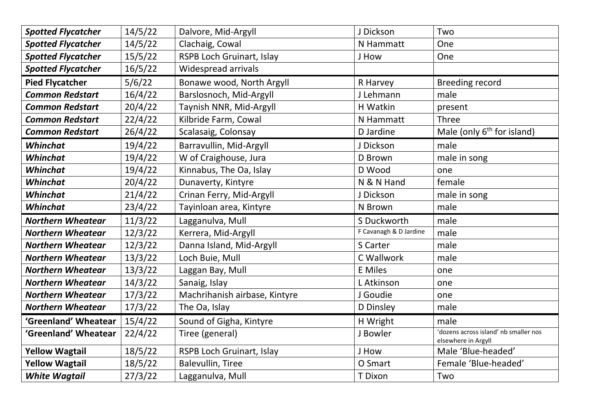| <b>Spotted Flycatcher</b> | 14/5/22 | Dalvore, Mid-Argyll              | J Dickson              | Two                                                          |
|---------------------------|---------|----------------------------------|------------------------|--------------------------------------------------------------|
| <b>Spotted Flycatcher</b> | 14/5/22 | Clachaig, Cowal                  | N Hammatt              | One                                                          |
| <b>Spotted Flycatcher</b> | 15/5/22 | RSPB Loch Gruinart, Islay        | J How                  | One                                                          |
| <b>Spotted Flycatcher</b> | 16/5/22 | <b>Widespread arrivals</b>       |                        |                                                              |
| <b>Pied Flycatcher</b>    | 5/6/22  | Bonawe wood, North Argyll        | R Harvey               | <b>Breeding record</b>                                       |
| <b>Common Redstart</b>    | 16/4/22 | Barslosnoch, Mid-Argyll          | J Lehmann              | male                                                         |
| <b>Common Redstart</b>    | 20/4/22 | Taynish NNR, Mid-Argyll          | H Watkin               | present                                                      |
| <b>Common Redstart</b>    | 22/4/22 | Kilbride Farm, Cowal             | N Hammatt              | <b>Three</b>                                                 |
| <b>Common Redstart</b>    | 26/4/22 | Scalasaig, Colonsay              | D Jardine              | Male (only $6th$ for island)                                 |
| Whinchat                  | 19/4/22 | Barravullin, Mid-Argyll          | J Dickson              | male                                                         |
| Whinchat                  | 19/4/22 | W of Craighouse, Jura            | D Brown                | male in song                                                 |
| Whinchat                  | 19/4/22 | Kinnabus, The Oa, Islay          | D Wood                 | one                                                          |
| Whinchat                  | 20/4/22 | Dunaverty, Kintyre               | N & N Hand             | female                                                       |
| Whinchat                  | 21/4/22 | Crinan Ferry, Mid-Argyll         | J Dickson              | male in song                                                 |
| Whinchat                  | 23/4/22 | Tayinloan area, Kintyre          | N Brown                | male                                                         |
|                           |         |                                  |                        |                                                              |
| <b>Northern Wheatear</b>  | 11/3/22 | Lagganulva, Mull                 | S Duckworth            | male                                                         |
| <b>Northern Wheatear</b>  | 12/3/22 | Kerrera, Mid-Argyll              | F Cavanagh & D Jardine | male                                                         |
| <b>Northern Wheatear</b>  | 12/3/22 | Danna Island, Mid-Argyll         | S Carter               | male                                                         |
| <b>Northern Wheatear</b>  | 13/3/22 | Loch Buie, Mull                  | C Wallwork             | male                                                         |
| <b>Northern Wheatear</b>  | 13/3/22 | Laggan Bay, Mull                 | <b>E</b> Miles         | one                                                          |
| <b>Northern Wheatear</b>  | 14/3/22 | Sanaig, Islay                    | L Atkinson             | one                                                          |
| <b>Northern Wheatear</b>  | 17/3/22 | Machrihanish airbase, Kintyre    | J Goudie               | one                                                          |
| <b>Northern Wheatear</b>  | 17/3/22 | The Oa, Islay                    | D Dinsley              | male                                                         |
| 'Greenland' Wheatear      | 15/4/22 | Sound of Gigha, Kintyre          | H Wright               | male                                                         |
| 'Greenland' Wheatear      | 22/4/22 | Tiree (general)                  | J Bowler               | 'dozens across island' nb smaller nos<br>elsewhere in Argyll |
| <b>Yellow Wagtail</b>     | 18/5/22 | <b>RSPB Loch Gruinart, Islay</b> | J How                  | Male 'Blue-headed'                                           |
| <b>Yellow Wagtail</b>     | 18/5/22 | <b>Balevullin, Tiree</b>         | O Smart                | Female 'Blue-headed'                                         |